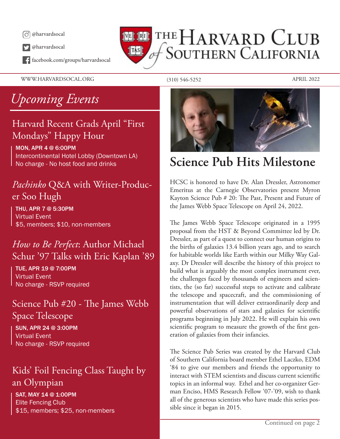

@harvardsocal

facebook.com/groups/harvardsocal

THE HARVARD CLUB **SOUTHERN CALIFORNIA**  $\|$ TAS $\|$ 

WWW.HARVARDSOCAL.ORG (310) 546-5252 APRIL 2022

## *Upcoming Events*

### Harvard Recent Grads April "First Mondays" Happy Hour

MON, APR 4 @ 6:00PM Intercontinental Hotel Lobby (Downtown LA) No charge - No host food and drinks

### *Pachinko* Q&A with Writer-Producer Soo Hugh

THU, APR 7 @ 5:30PM Virtual Event \$5, members; \$10, non-members

### *How to Be Perfect*: Author Michael Schur '97 Talks with Eric Kaplan '89

TUE, APR 19 @ 7:00PM Virtual Event No charge - RSVP required

### Science Pub #20 - The James Webb Space Telescope

SUN, APR 24 @ 3:00PM Virtual Event No charge - RSVP required

### Kids' Foil Fencing Class Taught by an Olympian

SAT, MAY 14 @ 1:00PM Elite Fencing Club \$15, members; \$25, non-members



## **Science Pub Hits Milestone**

HCSC is honored to have Dr. Alan Dressler, Astronomer Emeritus at the Carnegie Observatories present Myron Kayton Science Pub # 20: The Past, Present and Future of the James Webb Space Telescope on April 24, 2022.

The James Webb Space Telescope originated in a 1995 proposal from the HST & Beyond Committee led by Dr. Dressler, as part of a quest to connect our human origins to the births of galaxies 13.4 billion years ago, and to search for habitable worlds like Earth within our Milky Way Galaxy. Dr Dressler will describe the history of this project to build what is arguably the most complex instrument ever, the challenges faced by thousands of engineers and scientists, the (so far) successful steps to activate and calibrate the telescope and spacecraft, and the commissioning of instrumentation that will deliver extraordinarily deep and powerful observations of stars and galaxies for scientific programs beginning in July 2022. He will explain his own scientific program to measure the growth of the first generation of galaxies from their infancies.

The Science Pub Series was created by the Harvard Club of Southern California board member Ethel Laczko, EDM '84 to give our members and friends the opportunity to interact with STEM scientists and discuss current scientific topics in an informal way. Ethel and her co-organizer German Enciso, HMS Research Fellow '07-'09, wish to thank all of the generous scientists who have made this series possible since it began in 2015.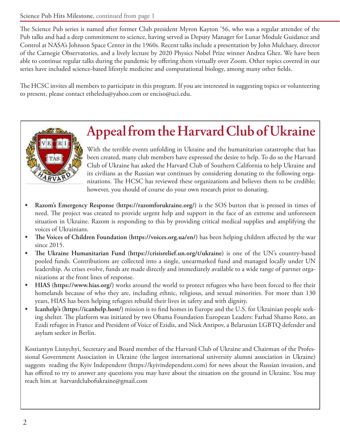The Science Pub series is named after former Club president Myron Kayton '56, who was a regular attendee of the Pub talks and had a deep commitment to science, having served as Deputy Manager for Lunar Module Guidance and Control at NASA's Johnson Space Center in the 1960s. Recent talks include a presentation by John Mulchaey, director of the Carnegie Observatories, and a lively lecture by 2020 Physics Nobel Prize winner Andrea Ghez. We have been able to continue regular talks during the pandemic by offering them virtually over Zoom. Other topics covered in our series have included science-based lifestyle medicine and computational biology, among many other fields.

The HCSC invites all members to participate in this program. If you are interested in suggesting topics or volunteering to present, please contact etheledu@yahoo.com or enciso@uci.edu.



# **Appeal from the Harvard Club of Ukraine**

With the terrible events unfolding in Ukraine and the humanitarian catastrophe that has been created, many club members have expressed the desire to help. To do so the Harvard Club of Ukraine has asked the Harvard Club of Southern California to help Ukraine and its civilians as the Russian war continues by considering donating to the following organizations. The HCSC has reviewed these organizations and believes them to be credible; however, you should of course do your own research prior to donating.

- **• Razom's Emergency Response (https://razomforukraine.org/)** is the SOS button that is pressed in times of need. The project was created to provide urgent help and support in the face of an extreme and unforeseen situation in Ukraine. Razom is responding to this by providing critical medical supplies and amplifying the voices of Ukrainians.
- **• The Voices of Children Foundation (https://voices.org.ua/en/)** has been helping children affected by the war since 2015.
- **• The Ukraine Humanitarian Fund (https://crisisrelief.un.org/t/ukraine)** is one of the UN's country-based pooled funds. Contributions are collected into a single, unearmarked fund and managed locally under UN leadership. As crises evolve, funds are made directly and immediately available to a wide range of partner organizations at the front lines of response.
- **HIAS (https://www.hias.org/)** works around the world to protect refugees who have been forced to flee their homelands because of who they are, including ethnic, religious, and sexual minorities. For more than 130 years, HIAS has been helping refugees rebuild their lives in safety and with dignity.
- **• Icanhelp's (https://icanhelp.host/)** mission is to find homes in Europe and the U.S. for Ukrainian people seeking shelter. The platform was initiated by two Obama Foundation European Leaders: Farhad Shamo Roto, an Ezidi refugee in France and President of Voice of Ezidis, and Nick Antipov, a Belarusian LGBTQ defender and asylum seeker in Berlin.

Kostiantyn Lisnychyi, Secretary and Board member of the Harvard Club of Ukraine and Chairman of the Professional Government Association in Ukraine (the largest international university alumni association in Ukraine) suggests reading the Kyiv Independent (https://kyivindependent.com) for news about the Russian invasion, and has offered to try to answer any questions you may have about the situation on the ground in Ukraine. You may reach him at harvardclubofukraine@gmail.com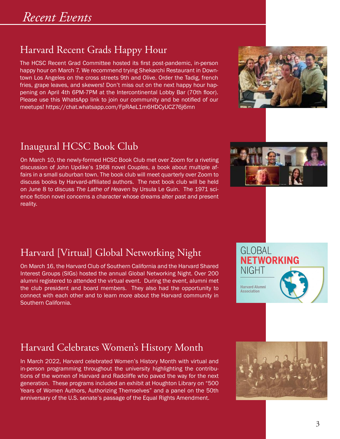### Harvard Recent Grads Happy Hour

The HCSC Recent Grad Committee hosted its first post-pandemic, in-person happy hour on March 7. We recommend trying Shekarchi Restaurant in Downtown Los Angeles on the cross streets 9th and Olive. Order the Tadig, french fries, grape leaves, and skewers! Don't miss out on the next happy hour happening on April 4th 6PM-7PM at the Intercontinental Lobby Bar (70th floor). Please use this WhatsApp link to join our community and be notified of our meetups! https://chat.whatsapp.com/FpRAeL1m6HDCyUCZ76j6mn



### Inaugural HCSC Book Club

On March 10, the newly-formed HCSC Book Club met over Zoom for a riveting discussion of John Updike's 1968 novel *Couples*, a book about multiple affairs in a small suburban town. The book club will meet quarterly over Zoom to discuss books by Harvard-affiliated authors. The next book club will be held on June 8 to discuss *The Lathe of Heaven* by Ursula Le Guin. The 1971 science fiction novel concerns a character whose dreams alter past and present reality.



GLOBAL

**NIGHT** 

**Harvard Alumni** Association

**NETWORKING** 

### Harvard [Virtual] Global Networking Night

On March 16, the Harvard Club of Southern California and the Harvard Shared Interest Groups (SIGs) hosted the annual Global Networking Night. Over 200 alumni registered to attended the virtual event. During the event, alumni met the club president and board members. They also had the opportunity to connect with each other and to learn more about the Harvard community in Southern California.

### Harvard Celebrates Women's History Month

In March 2022, Harvard celebrated Women's History Month with virtual and in-person programming throughout the university highlighting the contributions of the women of Harvard and Radcliffe who paved the way for the next generation. These programs included an exhibit at Houghton Library on "500 Years of Women Authors, Authorizing Themselves" and a panel on the 50th anniversary of the U.S. senate's passage of the Equal Rights Amendment.

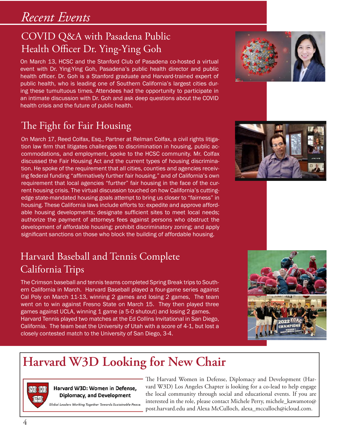### COVID Q&A with Pasadena Public Health Officer Dr. Ying-Ying Goh

On March 13, HCSC and the Stanford Club of Pasadena co-hosted a virtual event with Dr. Ying-Ying Goh, Pasadena's public health director and public health officer. Dr. Goh is a Stanford graduate and Harvard-trained expert of public health, who is leading one of Southern California's largest cities during these tumultuous times. Attendees had the opportunity to participate in an intimate discussion with Dr. Goh and ask deep questions about the COVID health crisis and the future of public health.

### The Fight for Fair Housing

On March 17, Reed Colfax, Esq., Partner at Relman Colfax, a civil rights litigation law firm that litigates challenges to discrimination in housing, public accommodations, and employment, spoke to the HCSC community. Mr. Colfax discussed the Fair Housing Act and the current types of housing discrimination. He spoke of the requirement that all cities, counties and agencies receiving federal funding "affirmatively further fair housing," and of California's own requirement that local agencies "further" fair housing in the face of the current housing crisis. The virtual discussion touched on how California's cuttingedge state-mandated housing goals attempt to bring us closer to "fairness" in housing. These California laws include efforts to: expedite and approve affordable housing developments; designate sufficient sites to meet local needs; authorize the payment of attorneys fees against persons who obstruct the development of affordable housing; prohibit discriminatory zoning; and apply significant sanctions on those who block the building of affordable housing.

### Harvard Baseball and Tennis Complete California Trips

The Crimson baseball and tennis teams completed Spring Break trips to Southern California in March. Harvard Baseball played a four-game series against Cal Poly on March 11-13, winning 2 games and losing 2 games, The team went on to win against Fresno State on March 15. They then played three games against UCLA, winning 1 game (a 5-0 shutout) and losing 2 games. Harvard Tennis played two matches at the Ed Collins Invitational in San Diego, California. The team beat the University of Utah with a score of 4-1, but lost a closely contested match to the University of San Diego, 3-4.

## **Harvard W3D Looking for New Chair**



#### Harvard W3D: Women in Defense. Diplomacy, and Development

Global Leaders Working Together Towards Sustainable Peace.

The Harvard Women in Defense, Diplomacy and Development (Harvard W3D) Los Angeles Chapter is looking for a co-lead to help engage the local community through social and educational events. If you are interested in the role, please contact Michele Perry, michele\_kawamoto@ post.harvard.edu and Alexa McCulloch, alexa\_mcculloch@icloud.com.





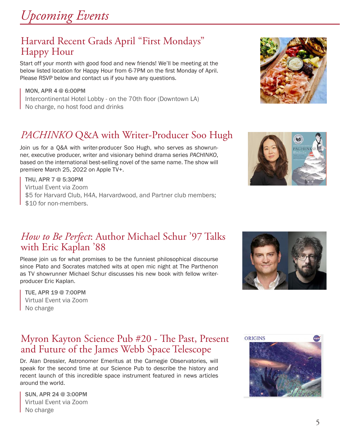

### Harvard Recent Grads April "First Mondays" Happy Hour

Start off your month with good food and new friends! We'll be meeting at the below listed location for Happy Hour from 6-7PM on the first Monday of April. Please RSVP below and contact us if you have any questions.

MON, APR 4 @ 6:00PM Intercontinental Hotel Lobby - on the 70th floor (Downtown LA) No charge, no host food and drinks

### *PACHINKO* Q&A with Writer-Producer Soo Hugh

Join us for a Q&A with writer-producer Soo Hugh, who serves as showrunner, executive producer, writer and visionary behind drama series *PACHINKO*, based on the international best-selling novel of the same name. The show will premiere March 25, 2022 on Apple TV+.

THU, APR 7 @ 5:30PM Virtual Event via Zoom \$5 for Harvard Club, H4A, Harvardwood, and Partner club members; \$10 for non-members.

### *How to Be Perfect*: Author Michael Schur '97 Talks with Eric Kaplan '88

Please join us for what promises to be the funniest philosophical discourse since Plato and Socrates matched wits at open mic night at The Parthenon as TV showrunner Michael Schur discusses his new book with fellow writerproducer Eric Kaplan.

TUE, APR 19 @ 7:00PM Virtual Event via Zoom No charge

### Myron Kayton Science Pub #20 - The Past, Present and Future of the James Webb Space Telescope

Dr. Alan Dressler, Astronomer Emeritus at the Carnegie Observatories, will speak for the second time at our Science Pub to describe the history and recent launch of this incredible space instrument featured in news articles around the world.

SUN, APR 24 @ 3:00PM Virtual Event via Zoom No charge







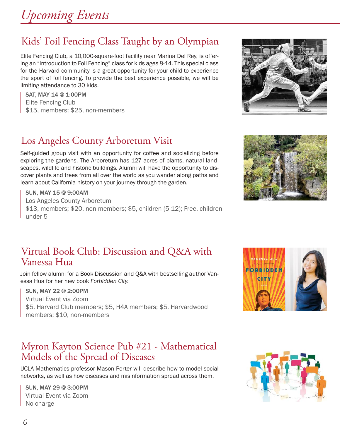### Kids' Foil Fencing Class Taught by an Olympian

Elite Fencing Club, a 10,000-square-foot facility near Marina Del Rey, is offering an "Introduction to Foil Fencing" class for kids ages 8-14. This special class for the Harvard community is a great opportunity for your child to experience the sport of foil fencing. To provide the best experience possible, we will be limiting attendance to 30 kids.

SAT, MAY 14 @ 1:00PM Elite Fencing Club \$15, members; \$25, non-members

### Los Angeles County Arboretum Visit

Self-guided group visit with an opportunity for coffee and socializing before exploring the gardens. The Arboretum has 127 acres of plants, natural landscapes, wildlife and historic buildings. Alumni will have the opportunity to discover plants and trees from all over the world as you wander along paths and learn about California history on your journey through the garden.

SUN, MAY 15 @ 9:00AM Los Angeles County Arboretum \$13, members; \$20, non-members; \$5, children (5-12); Free, children under 5

### Virtual Book Club: Discussion and Q&A with Vanessa Hua

Join fellow alumni for a Book Discussion and Q&A with bestselling author Vanessa Hua for her new book *Forbidden City.*

SUN, MAY 22 @ 2:00PM Virtual Event via Zoom \$5, Harvard Club members; \$5, H4A members; \$5, Harvardwood members; \$10, non-members

### Myron Kayton Science Pub #21 - Mathematical Models of the Spread of Diseases

UCLA Mathematics professor Mason Porter will describe how to model social networks, as well as how diseases and misinformation spread across them.

SUN, MAY 29 @ 3:00PM Virtual Event via Zoom No charge

6







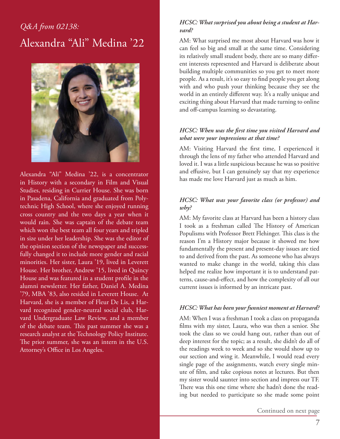### *Q&A from 02138:* Alexandra "Ali" Medina '22



Alexandra "Ali" Medina '22, is a concentrator in History with a secondary in Film and Visual Studies, residing in Currier House. She was born in Pasadena, California and graduated from Polytechnic High School, where she enjoyed running cross country and the two days a year when it would rain. She was captain of the debate team which won the best team all four years and tripled in size under her leadership. She was the editor of the opinion section of the newspaper and successfully changed it to include more gender and racial minorities. Her sister, Laura '19, lived in Leverett House. Her brother, Andrew '15, lived in Quincy House and was featured in a student profile in the alumni newsletter. Her father, Daniel A. Medina '79, MBA '83, also resided in Leverett House. At Harvard, she is a member of Fleur De Lis, a Harvard recognized gender-neutral social club, Harvard Undergraduate Law Review, and a member of the debate team. This past summer she was a research analyst at the Technology Policy Institute. The prior summer, she was an intern in the U.S. Attorney's Office in Los Angeles.

#### *HCSC: What surprised you about being a student at Harvard?*

AM: What surprised me most about Harvard was how it can feel so big and small at the same time. Considering its relatively small student body, there are so many different interests represented and Harvard is deliberate about building multiple communities so you get to meet more people. As a result, it's so easy to find people you get along with and who push your thinking because they see the world in an entirely different way. It's a really unique and exciting thing about Harvard that made turning to online and off-campus learning so devastating.

#### *HCSC: When was the first time you visited Harvard and what were your impressions at that time?*

AM: Visiting Harvard the first time, I experienced it through the lens of my father who attended Harvard and loved it. I was a little suspicious because he was so positive and effusive, but I can genuinely say that my experience has made me love Harvard just as much as him.

#### *HCSC: What was your favorite class (or professor) and why?*

AM: My favorite class at Harvard has been a history class I took as a freshman called The History of American Populisms with Professor Brett Flehinger. This class is the reason I'm a History major because it showed me how fundamentally the present and present-day issues are tied to and derived from the past. As someone who has always wanted to make change in the world, taking this class helped me realize how important it is to understand patterns, cause-and-effect, and how the complexity of all our current issues is informed by an intricate past.

#### *HCSC: What has been your funniest moment at Harvard?*

AM: When I was a freshman I took a class on propaganda films with my sister, Laura, who was then a senior. She took the class so we could hang out, rather than out of deep interest for the topic; as a result, she didn't do all of the readings week to week and so she would show up to our section and wing it. Meanwhile, I would read every single page of the assignments, watch every single minute of film, and take copious notes at lectures. But then my sister would saunter into section and impress our TF. There was this one time where she hadn't done the reading but needed to participate so she made some point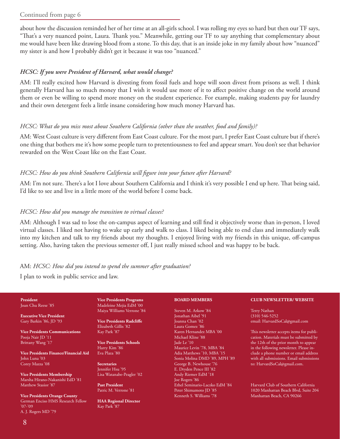#### Continued from page 6

about how the discussion reminded her of her time at an all-girls school. I was rolling my eyes so hard but then our TF says, "That's a very nuanced point, Laura. Thank you." Meanwhile, getting our TF to say anything that complementary about me would have been like drawing blood from a stone. To this day, that is an inside joke in my family about how "nuanced" my sister is and how I probably didn't get it because it was too "nuanced."

#### *HCSC: If you were President of Harvard, what would change?*

AM: I'll really excited how Harvard is divesting from fossil fuels and hope will soon divest from prisons as well. I think generally Harvard has so much money that I wish it would use more of it to affect positive change on the world around them or even be willing to spend more money on the student experience. For example, making students pay for laundry and their own detergent feels a little insane considering how much money Harvard has.

#### *HCSC: What do you miss most about Southern California (other than the weather, food and family)?*

AM: West Coast culture is very different from East Coast culture. For the most part, I prefer East Coast culture but if there's one thing that bothers me it's how some people turn to pretentiousness to feel and appear smart. You don't see that behavior rewarded on the West Coast like on the East Coast.

#### *HCSC: How do you think Southern California will figure into your future after Harvard?*

AM: I'm not sure. There's a lot I love about Southern California and I think it's very possible I end up here. That being said, I'd like to see and live in a little more of the world before I come back.

#### *HCSC: How did you manage the transition to virtual classes?*

AM: Although I was sad to lose the on-campus aspect of learning and still find it objectively worse than in-person, I loved virtual classes. I liked not having to wake up early and walk to class. I liked being able to end class and immediately walk into my kitchen and talk to my friends about my thoughts. I enjoyed living with my friends in this unique, off-campus setting. Also, having taken the previous semester off, I just really missed school and was happy to be back.

#### AM: *HCSC: How did you intend to spend the summer after graduation?*

I plan to work in public service and law.

#### **President** Joan Chu Reese '85

**Executive Vice President** Gary Barkin '86, JD '93

**Vice Presidents Communications** Pooja Nair JD '11 Brittany Wang '17

**Vice Presidents Finance/Financial Aid** John Luna '03 Corey Mazza '08

**Vice Presidents Membership** Marsha Hirano-Nakanishi EdD '81 Matthew Stasior '87

**Vice Presidents Orange County** German Enciso HMS Research Fellow '07-'09 A. J. Rogers MD '79

**Vice Presidents Programs** Madeleine Mejia EdM '00 Maiya Williams Verrone '84

**Vice Presidents Radcliffe** Elizabeth Gillis '82 Kay Park '87

**Vice Presidents Schools** Harry Kim '86 Eva Plaza '80

**Secretaries** Jennifer Hsu '95 Lisa Watanabe-Peagler '02

**Past President** Patric M. Verrone '81

**HAA Regional Director** Kay Park '87

#### **BOARD MEMBERS**

Steven M. Arkow '84 Jonathan Aibel '91 Joanna Chan '02 Laura Gomez '86 Karen Hernandez MBA '00 Michael Kline '88 Jade Le '10 Maurice Levin '78, MBA '84 Adia Matthews '10, MBA '15 Sonia Molina DMD '89, MPH '89 George B. Newhouse '76 E. Dryden Pence III '82 Andy Riemer EdM '18 Joe Rogers '86 Ethel Seminario-Laczko EdM '84 Peter Shimamoto JD '85 Kenneth S. Williams '78

#### **CLUB NEWSLETTER/ WEBSITE**

Terry Nathan (310) 546-5252 email: HarvardSoCal@gmail.com

This newsletter accepts items for publication. Materials must be submitted by the 12th of the prior month to appear in the following newsletter. Please include a phone number or email address with all submissions. Email submissions to: HarvardSoCal@gmail.com.

Harvard Club of Southern California 1020 Manhattan Beach Blvd, Suite 204 Manhattan Beach, CA 90266

8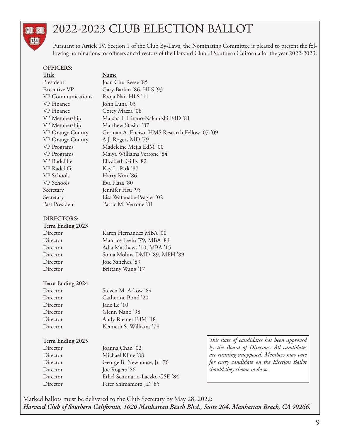#### **VEL JRIT** TAS

## 2022-2023 CLUB ELECTION BALLOT

Pursuant to Article IV, Section 1 of the Club By-Laws, the Nominating Committee is pleased to present the following nominations for officers and directors of the Harvard Club of Southern California for the year 2022-2023:

#### **OFFICERS:**

#### **Title Name**

| President                | Joan Chu Reese '85                            |
|--------------------------|-----------------------------------------------|
| Executive VP             | Gary Barkin '86, HLS '93                      |
| <b>VP</b> Communications | Pooja Nair HLS '11                            |
| VP Finance               | John Luna '03                                 |
| VP Finance               | Corey Mazza '08                               |
| VP Membership            | Marsha J. Hirano-Nakanishi EdD '81            |
| VP Membership            | Matthew Stasior '87                           |
| VP Orange County         | German A. Enciso, HMS Research Fellow '07-'09 |
| <b>VP</b> Orange County  | A.J. Rogers MD '79                            |
| VP Programs              | Madeleine Mejia EdM '00                       |
| VP Programs              | Maiya Williams Verrone '84                    |
| VP Radcliffe             | Elizabeth Gillis '82                          |
| VP Radcliffe             | Kay L. Park '87                               |
| VP Schools               | Harry Kim '86                                 |
| VP Schools               | Eva Plaza '80                                 |
| Secretary                | Jennifer Hsu '95                              |
| Secretary                | Lisa Watanabe-Peagler '02                     |
| Past President           | Patric M. Verrone '81                         |

#### **DIRECTORS:**

| Term Ending 2023 |                               |
|------------------|-------------------------------|
| Director         | Karen Hernandez MBA '00       |
| Director         | Maurice Levin '79, MBA '84    |
| Director         | Adia Matthews '10, MBA '15    |
| Director         | Sonia Molina DMD '89, MPH '89 |
| Director         | Jose Sanchez '89              |
| Director         | Brittany Wang '17             |
|                  |                               |

#### **Term Ending 2024**

| Director |  |
|----------|--|
| Director |  |
| Director |  |
| Director |  |
| Director |  |
| Director |  |

Steven M. Arkow '84 Catherine Bond '20 Jade Le '10 Glenn Nano '98 Andy Riemer EdM '18 Kenneth S. Williams '78

#### **Term Ending 2025**

Director Joanna Chan '02 Director Michael Kline '88 Director George B. Newhouse, Jr. '76 Director Joe Rogers '86 Director Ethel Seminario-Laczko GSE '84 Director Peter Shimamoto JD '85

*This slate of candidates has been approved by the Board of Directors. All candidates are running unopposed. Members may vote for every candidate on the Election Ballot should they choose to do so.*

Marked ballots must be delivered to the Club Secretary by May 28, 2022: *Harvard Club of Southern California, 1020 Manhattan Beach Blvd., Suite 204, Manhattan Beach, CA 90266.*